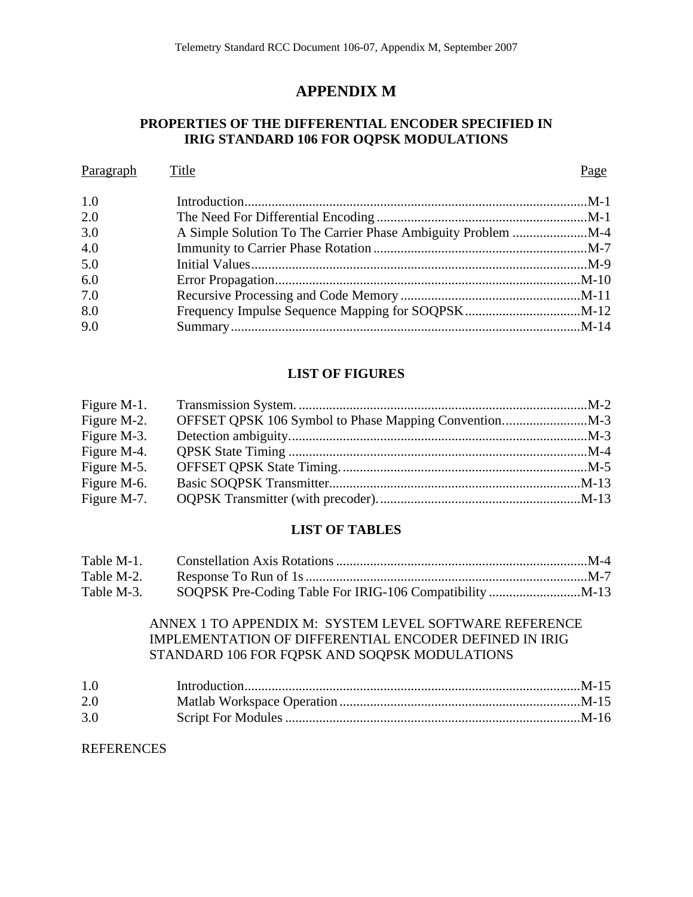# **APPENDIX M**

### **PROPERTIES OF THE DIFFERENTIAL ENCODER SPECIFIED IN IRIG STANDARD 106 FOR OQPSK MODULATIONS**

| Paragraph | Title | Page |
|-----------|-------|------|
| 1.0       |       |      |
| 2.0       |       |      |
| 3.0       |       |      |
| 4.0       |       |      |
| 5.0       |       |      |
| 6.0       |       |      |
| 7.0       |       |      |
| 8.0       |       |      |
| 9.0       |       |      |

## **LIST OF FIGURES**

| Figure M-1. |  |
|-------------|--|
| Figure M-2. |  |
| Figure M-3. |  |
| Figure M-4. |  |
| Figure M-5. |  |
| Figure M-6. |  |
| Figure M-7. |  |

## **LIST OF TABLES**

### [ANNEX 1 TO APPENDIX M: SYSTEM LEVEL SOFTWARE REFERENCE](#page-16-0)  [IMPLEMENTATION OF DIFFERENTIAL ENCODER DEFINED IN IRIG](#page-16-0)  [STANDARD 106 FOR FQPSK AND SOQPSK MODULATIONS](#page-16-0)

| 1.0 |  |
|-----|--|
| 2.0 |  |
| 3.0 |  |

### **[REFERENCES](#page-24-0)**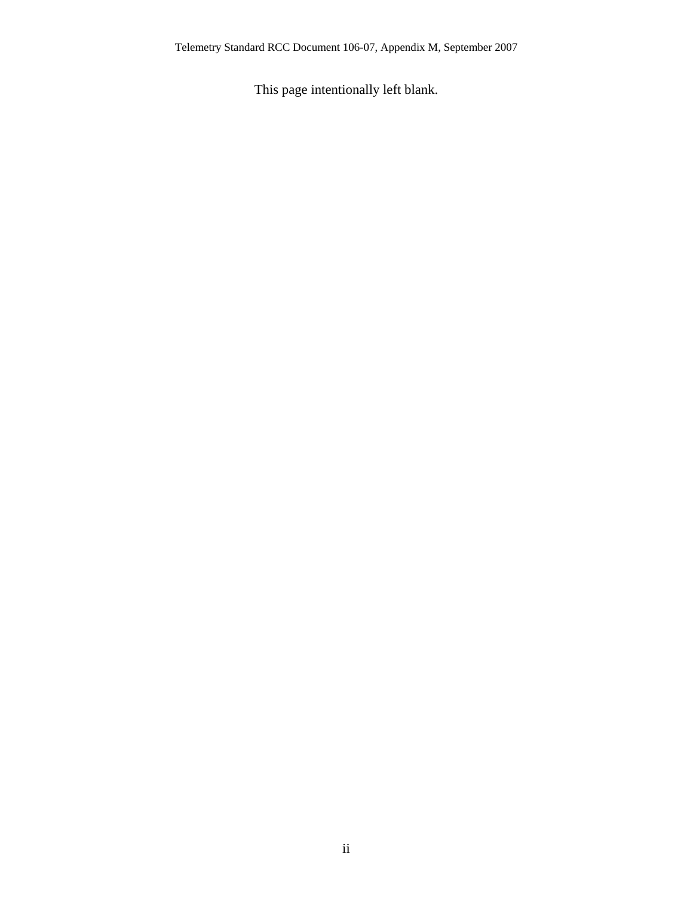This page intentionally left blank.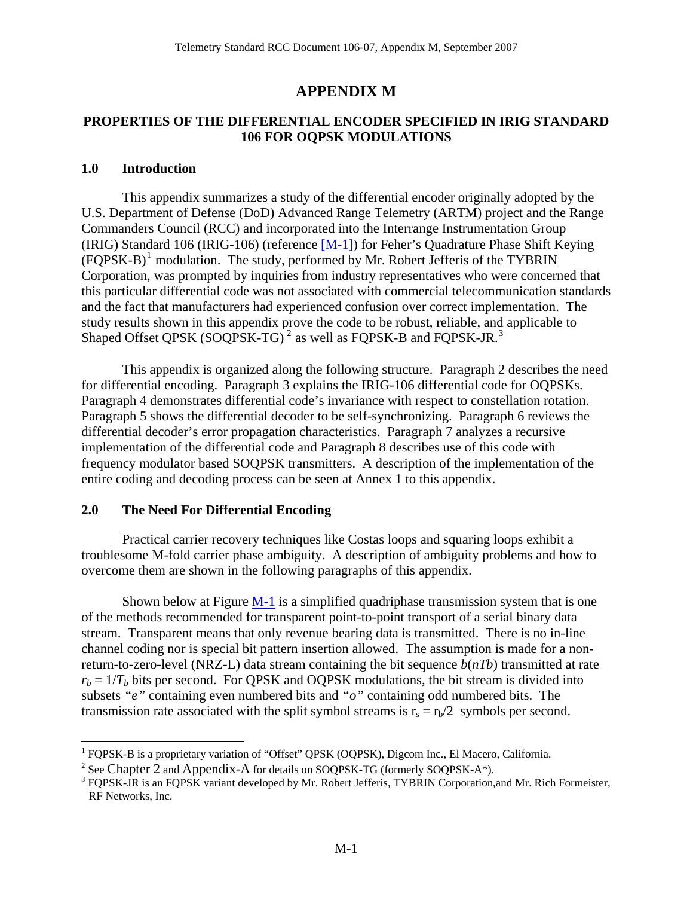# **APPENDIX M**

## <span id="page-2-0"></span>**PROPERTIES OF THE DIFFERENTIAL ENCODER SPECIFIED IN IRIG STANDARD 106 FOR OQPSK MODULATIONS**

### **1.0 Introduction**

This appendix summarizes a study of the differential encoder originally adopted by the U.S. Department of Defense (DoD) Advanced Range Telemetry (ARTM) project and the Range Commanders Council (RCC) and incorporated into the Interrange Instrumentation Group (IRIG) Standard 106 (IRIG-106) (reference [\[M-1\]](#page-24-0)) for Feher's Quadrature Phase Shift Keying  $(FQPSK-B)^1$  $(FQPSK-B)^1$  modulation. The study, performed by Mr. Robert Jefferis of the TYBRIN Corporation, was prompted by inquiries from industry representatives who were concerned that this particular differential code was not associated with commercial telecommunication standards and the fact that manufacturers had experienced confusion over correct implementation. The study results shown in this appendix prove the code to be robust, reliable, and applicable to Shaped Offset QPSK (SOQPSK-TG)<sup>[2](#page-2-2)</sup> as well as FQPSK-B and FQPSK-JR.<sup>[3](#page-2-3)</sup>

This appendix is organized along the following structure. Paragraph 2 describes the need for differential encoding. Paragraph 3 explains the IRIG-106 differential code for OQPSKs. Paragraph 4 demonstrates differential code's invariance with respect to constellation rotation. Paragraph 5 shows the differential decoder to be self-synchronizing. Paragraph 6 reviews the differential decoder's error propagation characteristics. Paragraph 7 analyzes a recursive implementation of the differential code and Paragraph 8 describes use of this code with frequency modulator based SOQPSK transmitters. A description of the implementation of the entire coding and decoding process can be seen at Annex 1 to this appendix.

## **2.0 The Need For Differential Encoding**

Practical carrier recovery techniques like Costas loops and squaring loops exhibit a troublesome M-fold carrier phase ambiguity. A description of ambiguity problems and how to overcome them are shown in the following paragraphs of this appendix.

Shown below at Figure  $M-1$  is a simplified quadriphase transmission system that is one of the methods recommended for transparent point-to-point transport of a serial binary data stream. Transparent means that only revenue bearing data is transmitted. There is no in-line channel coding nor is special bit pattern insertion allowed. The assumption is made for a nonreturn-to-zero-level (NRZ-L) data stream containing the bit sequence *b*(*nTb*) transmitted at rate  $r_b = 1/T_b$  bits per second. For QPSK and OQPSK modulations, the bit stream is divided into subsets *"e"* containing even numbered bits and *"o"* containing odd numbered bits. The transmission rate associated with the split symbol streams is  $r_s = r_b/2$  symbols per second.

 $\overline{a}$ <sup>1</sup> FQPSK-B is a proprietary variation of "Offset" QPSK (OQPSK), Digcom Inc., El Macero, California.<br><sup>2</sup> See Chanter 2 and Annendix. A for datails an SOOPSK TG (formaly SOOPSK A\*).

<span id="page-2-2"></span><span id="page-2-1"></span><sup>&</sup>lt;sup>2</sup> See Chapter 2 and Appendix-A for details on SOOPSK-TG (formerly SOOPSK-A\*).

<span id="page-2-3"></span><sup>&</sup>lt;sup>3</sup> FOPSK-JR is an FOPSK variant developed by Mr. Robert Jefferis, TYBRIN Corporation, and Mr. Rich Formeister, RF Networks, Inc.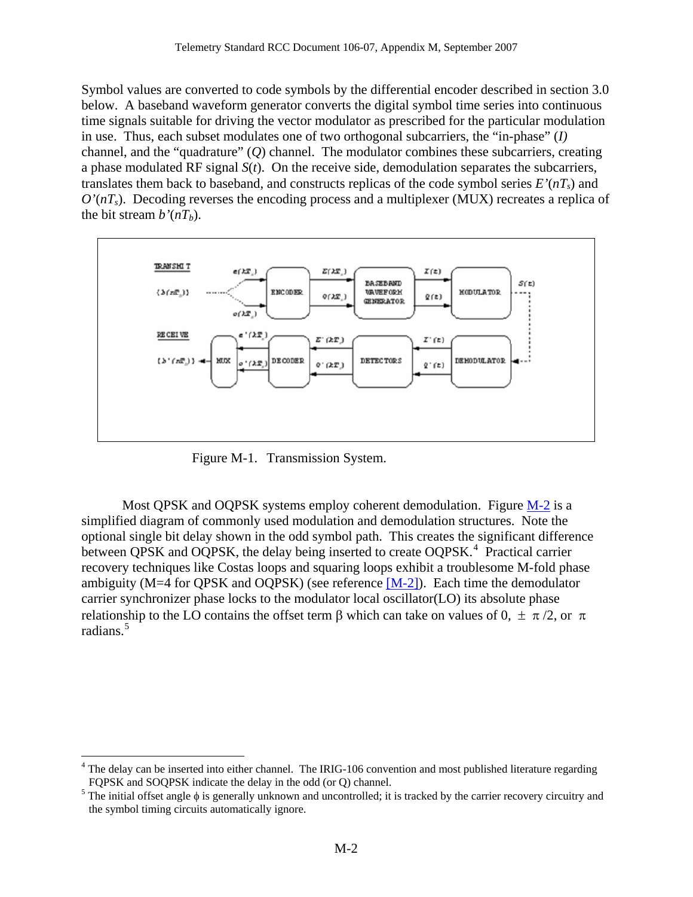<span id="page-3-0"></span>Symbol values are converted to code symbols by the differential encoder described in section 3.0 below. A baseband waveform generator converts the digital symbol time series into continuous time signals suitable for driving the vector modulator as prescribed for the particular modulation in use. Thus, each subset modulates one of two orthogonal subcarriers, the "in-phase" (*I)* channel, and the "quadrature" (*Q*) channel. The modulator combines these subcarriers, creating a phase modulated RF signal *S*(*t*). On the receive side, demodulation separates the subcarriers, translates them back to baseband, and constructs replicas of the code symbol series  $E'(nT_s)$  and *O'*( $nT_s$ ). Decoding reverses the encoding process and a multiplexer (MUX) recreates a replica of the bit stream  $b'(nT_b)$ .



Figure M-1. Transmission System.

Most QPSK and OQPSK systems employ coherent demodulation. Figure [M-2](#page-4-0) is a simplified diagram of commonly used modulation and demodulation structures. Note the optional single bit delay shown in the odd symbol path. This creates the significant difference between QPSK and OQPSK, the delay being inserted to create OQPSK.<sup>[4](#page-3-1)</sup> Practical carrier recovery techniques like Costas loops and squaring loops exhibit a troublesome M-fold phase ambiguity ( $M=4$  for QPSK and OQPSK) (see reference  $[M-2]$ ). Each time the demodulator carrier synchronizer phase locks to the modulator local oscillator(LO) its absolute phase relationship to the LO contains the offset term  $\beta$  which can take on values of 0,  $\pm \pi/2$ , or  $\pi$ radians.<sup>[5](#page-3-2)</sup>

 $\overline{a}$ 

<span id="page-3-1"></span><sup>&</sup>lt;sup>4</sup> The delay can be inserted into either channel. The IRIG-106 convention and most published literature regarding FOPSK and SOOPSK indicate the delay in the odd (or O) channel.

<span id="page-3-2"></span><sup>&</sup>lt;sup>5</sup> The initial offset angle  $\phi$  is generally unknown and uncontrolled; it is tracked by the carrier recovery circuitry and the symbol timing circuits automatically ignore.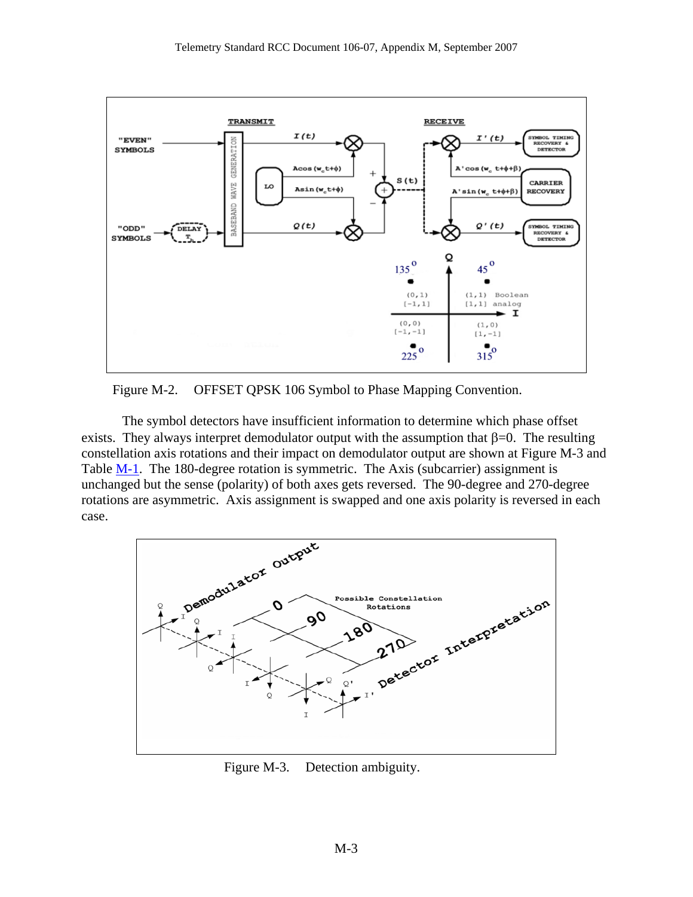<span id="page-4-0"></span>

Figure M-2. OFFSET QPSK 106 Symbol to Phase Mapping Convention.

The symbol detectors have insufficient information to determine which phase offset exists. They always interpret demodulator output with the assumption that  $\beta = 0$ . The resulting constellation axis rotations and their impact on demodulator output are shown at Figure M-3 and Table [M-1](#page-5-0). The 180-degree rotation is symmetric. The Axis (subcarrier) assignment is unchanged but the sense (polarity) of both axes gets reversed. The 90-degree and 270-degree rotations are asymmetric. Axis assignment is swapped and one axis polarity is reversed in each case.



Figure M-3. Detection ambiguity.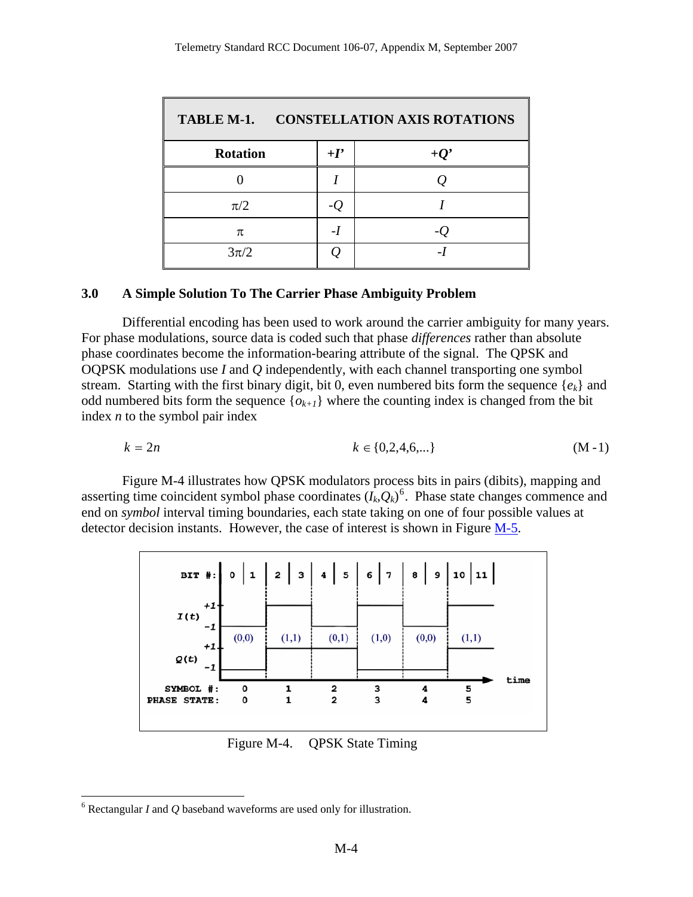<span id="page-5-0"></span>

| <b>TABLE M-1. CONSTELLATION AXIS ROTATIONS</b> |       |  |  |  |  |  |  |  |
|------------------------------------------------|-------|--|--|--|--|--|--|--|
| <b>Rotation</b>                                | $+I'$ |  |  |  |  |  |  |  |
|                                                |       |  |  |  |  |  |  |  |
| $\pi/2$                                        |       |  |  |  |  |  |  |  |
| π                                              |       |  |  |  |  |  |  |  |
| $3\pi/2$                                       |       |  |  |  |  |  |  |  |

#### **3.0 A Simple Solution To The Carrier Phase Ambiguity Problem**

Differential encoding has been used to work around the carrier ambiguity for many years. For phase modulations, source data is coded such that phase *differences* rather than absolute phase coordinates become the information-bearing attribute of the signal. The QPSK and OQPSK modulations use *I* and *Q* independently, with each channel transporting one symbol stream. Starting with the first binary digit, bit 0, even numbered bits form the sequence  $\{e_k\}$  and odd numbered bits form the sequence  $\{o_{k+1}\}\$  where the counting index is changed from the bit index *n* to the symbol pair index

$$
k = 2n \qquad k \in \{0, 2, 4, 6, \dots\} \qquad (M-1)
$$

Figure M-4 illustrates how QPSK modulators process bits in pairs (dibits), mapping and asserting time coincident symbol phase coordinates  $(I_k, Q_k)^6$  $(I_k, Q_k)^6$ . Phase state changes commence and end on *symbol* interval timing boundaries, each state taking on one of four possible values at detector decision instants. However, the case of interest is shown in Figure [M-5.](#page-6-0)



Figure M-4. QPSK State Timing

 $\overline{a}$ 

<span id="page-5-1"></span><sup>6</sup> Rectangular *I* and *Q* baseband waveforms are used only for illustration.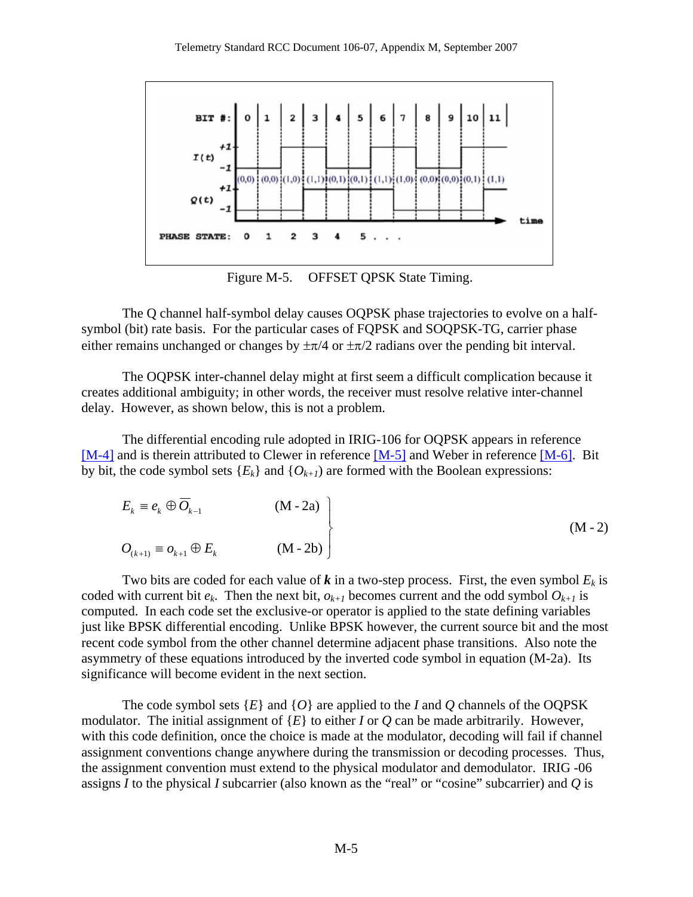<span id="page-6-0"></span>

Figure M-5. OFFSET QPSK State Timing.

The Q channel half-symbol delay causes OQPSK phase trajectories to evolve on a halfsymbol (bit) rate basis. For the particular cases of FQPSK and SOQPSK-TG, carrier phase either remains unchanged or changes by  $\pm \pi/4$  or  $\pm \pi/2$  radians over the pending bit interval.

The OQPSK inter-channel delay might at first seem a difficult complication because it creates additional ambiguity; in other words, the receiver must resolve relative inter-channel delay. However, as shown below, this is not a problem.

The differential encoding rule adopted in IRIG-106 for OQPSK appears in reference [\[M-4\]](#page-24-0) and is therein attributed to Clewer in reference [\[M-5\]](#page-24-0) and Weber in reference [\[M-6\].](#page-24-0) Bit by bit, the code symbol sets  ${E_k}$  and  ${O_{k+1}}$  are formed with the Boolean expressions:

| $E_k \equiv e_k \oplus O_{k-1}$       | $(M - 2a)$ |           |
|---------------------------------------|------------|-----------|
|                                       |            | $(M - 2)$ |
| $O_{(k+1)} \equiv o_{k+1} \oplus E_k$ | $(M - 2b)$ |           |

Two bits are coded for each value of  $k$  in a two-step process. First, the even symbol  $E_k$  is coded with current bit  $e_k$ . Then the next bit,  $o_{k+1}$  becomes current and the odd symbol  $O_{k+1}$  is computed. In each code set the exclusive-or operator is applied to the state defining variables just like BPSK differential encoding. Unlike BPSK however, the current source bit and the most recent code symbol from the other channel determine adjacent phase transitions. Also note the asymmetry of these equations introduced by the inverted code symbol in equation (M-2a). Its significance will become evident in the next section.

The code symbol sets  ${E}$  and  ${O}$  are applied to the *I* and *O* channels of the OOPSK modulator. The initial assignment of {*E*} to either *I* or *Q* can be made arbitrarily. However, with this code definition, once the choice is made at the modulator, decoding will fail if channel assignment conventions change anywhere during the transmission or decoding processes. Thus, the assignment convention must extend to the physical modulator and demodulator. IRIG -06 assigns *I* to the physical *I* subcarrier (also known as the "real" or "cosine" subcarrier) and *Q* is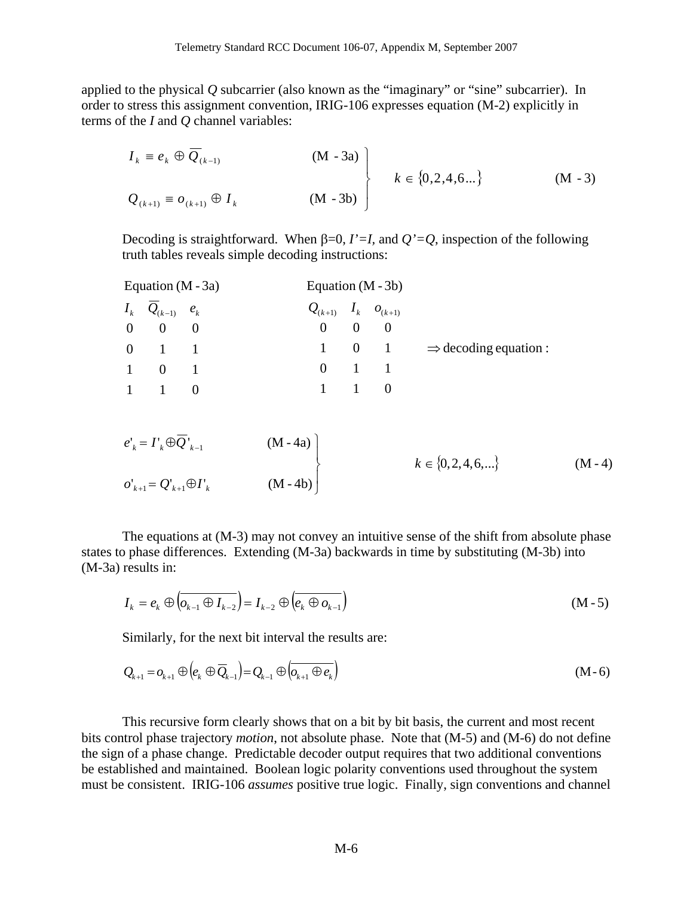applied to the physical *Q* subcarrier (also known as the "imaginary" or "sine" subcarrier). In order to stress this assignment convention, IRIG-106 expresses equation (M-2) explicitly in terms of the *I* and *Q* channel variables:

$$
I_{k} \equiv e_{k} \oplus \overline{Q}_{(k-1)}
$$
\n(M - 3a)\n
$$
Q_{(k+1)} \equiv o_{(k+1)} \oplus I_{k}
$$
\n(M - 3b)\n
$$
k \in \{0, 2, 4, 6...\}
$$
\n(M - 3b)

Decoding is straightforward. When  $β=0$ ,  $I'=I$ , and  $Q'=Q$ , inspection of the following truth tables reveals simple decoding instructions:

| Equation (M - 3a) |                         |  |              | Equation $(M - 3b)$ |                               |                                   |
|-------------------|-------------------------|--|--------------|---------------------|-------------------------------|-----------------------------------|
|                   | $I_k$ $Q_{(k-1)}$ $e_k$ |  |              |                     | $Q_{(k+1)}$ $I_k$ $o_{(k+1)}$ |                                   |
|                   | $0 \qquad 0 \qquad 0$   |  | $\mathbf{0}$ |                     |                               |                                   |
|                   | $0 \t 1 \t 1$           |  |              |                     | $1 \t 0 \t 1$                 | $\Rightarrow$ decoding equation : |
|                   | $1 \quad 0$             |  | $\Omega$     |                     |                               |                                   |
|                   | $1 \quad 1 \quad 0$     |  |              | $1 \quad 1 \quad 0$ |                               |                                   |
|                   |                         |  |              |                     |                               |                                   |

$$
e'_{k} = I'_{k} \oplus \overline{Q'}_{k-1} \qquad (M - 4a)
$$
  
\n
$$
o'_{k+1} = Q'_{k+1} \oplus I'_{k} \qquad (M - 4b)
$$
  
\n
$$
k \in \{0, 2, 4, 6, ...\}
$$
 (M - 4)

The equations at (M-3) may not convey an intuitive sense of the shift from absolute phase states to phase differences. Extending (M-3a) backwards in time by substituting (M-3b) into (M-3a) results in:

$$
I_k = e_k \oplus \left(\overline{o_{k-1} \oplus I_{k-2}}\right) = I_{k-2} \oplus \left(\overline{e_k \oplus o_{k-1}}\right)
$$
\n(M-5)

Similarly, for the next bit interval the results are:

$$
Q_{k+1} = o_{k+1} \oplus \left(e_k \oplus \overline{Q}_{k-1}\right) = Q_{k-1} \oplus \left(\overline{o_{k+1} \oplus e_k}\right) \tag{M-6}
$$

This recursive form clearly shows that on a bit by bit basis, the current and most recent bits control phase trajectory *motion*, not absolute phase. Note that (M-5) and (M-6) do not define the sign of a phase change. Predictable decoder output requires that two additional conventions be established and maintained. Boolean logic polarity conventions used throughout the system must be consistent. IRIG-106 *assumes* positive true logic. Finally, sign conventions and channel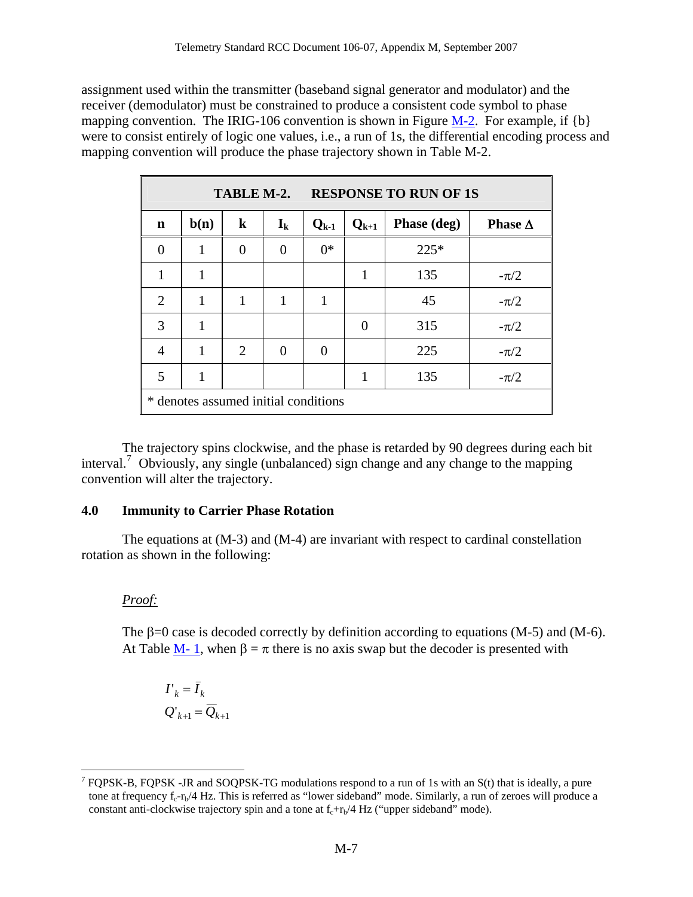<span id="page-8-0"></span>assignment used within the transmitter (baseband signal generator and modulator) and the receiver (demodulator) must be constrained to produce a consistent code symbol to phase mapping convention. The IRIG-106 convention is shown in Figure  $M-2$ . For example, if  $\{b\}$ were to consist entirely of logic one values, i.e., a run of 1s, the differential encoding process and mapping convention will produce the phase trajectory shown in Table M-2.

| <b>RESPONSE TO RUN OF 1S</b><br><b>TABLE M-2.</b> |      |                |          |           |           |                |          |  |  |
|---------------------------------------------------|------|----------------|----------|-----------|-----------|----------------|----------|--|--|
| $\mathbf n$                                       | b(n) | $\bf k$        | $I_k$    | $Q_{k-1}$ | $Q_{k+1}$ | Phase $\Delta$ |          |  |  |
| $\Omega$                                          | 1    | $\overline{0}$ | $\theta$ | $0^*$     |           | $225*$         |          |  |  |
| 1                                                 | 1    |                |          |           | 1         | 135            | $-\pi/2$ |  |  |
| $\overline{2}$                                    | 1    | 1              | 1        | 1         |           | 45             | $-\pi/2$ |  |  |
| 3                                                 | 1    |                |          |           | $\Omega$  | 315            | $-\pi/2$ |  |  |
| $\overline{4}$                                    | 1    | 2              | $\Omega$ | $\Omega$  |           | 225            | $-\pi/2$ |  |  |
| 5                                                 | 1    |                |          |           | 1         | 135            | $-\pi/2$ |  |  |
| * denotes assumed initial conditions              |      |                |          |           |           |                |          |  |  |

The trajectory spins clockwise, and the phase is retarded by 90 degrees during each bit interval.<sup>[7](#page-8-1)</sup> Obviously, any single (unbalanced) sign change and any change to the mapping convention will alter the trajectory.

## **4.0 Immunity to Carrier Phase Rotation**

The equations at (M-3) and (M-4) are invariant with respect to cardinal constellation rotation as shown in the following:

## *Proof:*

The  $\beta$ =0 case is decoded correctly by definition according to equations (M-5) and (M-6). At Table [M- 1](#page-5-0), when  $\beta = \pi$  there is no axis swap but the decoder is presented with

$$
I'_{k} = \overline{I}_{k}
$$

$$
Q'_{k+1} = \overline{Q}_{k+1}
$$

<span id="page-8-1"></span> $\overline{a}$ <sup>7</sup> FQPSK-B, FQPSK-JR and SOQPSK-TG modulations respond to a run of 1s with an  $S(t)$  that is ideally, a pure tone at frequency  $f_c$ -r<sub>b</sub>/4 Hz. This is referred as "lower sideband" mode. Similarly, a run of zeroes will produce a constant anti-clockwise trajectory spin and a tone at  $f_c + r_b/4$  Hz ("upper sideband" mode).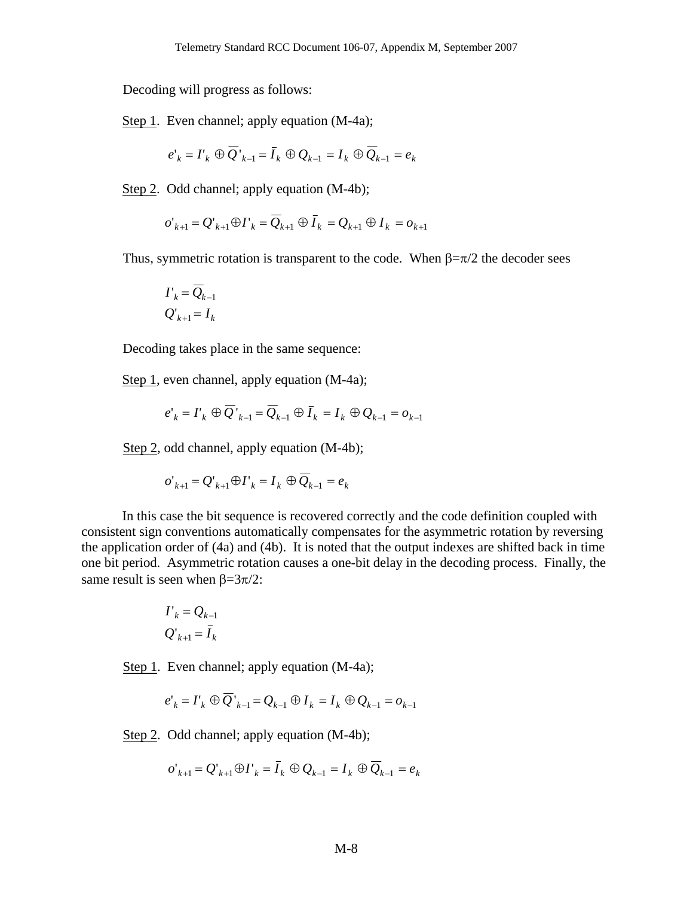Decoding will progress as follows:

Step 1. Even channel; apply equation (M-4a);

$$
e'_{k} = I'_{k} \oplus \overline{Q'}_{k-1} = \overline{I}_{k} \oplus Q_{k-1} = I_{k} \oplus \overline{Q}_{k-1} = e_{k}
$$

Step 2. Odd channel; apply equation (M-4b);

$$
o'_{k+1} = Q'_{k+1} \oplus I'_{k} = \overline{Q}_{k+1} \oplus \overline{I}_{k} = Q_{k+1} \oplus I_{k} = o_{k+1}
$$

Thus, symmetric rotation is transparent to the code. When  $\beta = \pi/2$  the decoder sees

$$
I'_{k} = Q_{k-1}
$$
  

$$
Q'_{k+1} = I_{k}
$$

Decoding takes place in the same sequence:

Step 1, even channel, apply equation (M-4a);

$$
e'_{k} = I'_{k} \oplus \overline{Q'}_{k-1} = \overline{Q}_{k-1} \oplus \overline{I}_{k} = I_{k} \oplus Q_{k-1} = o_{k-1}
$$

Step 2, odd channel, apply equation (M-4b);

$$
o'_{k+1} = Q'_{k+1} \oplus I'_{k} = I_{k} \oplus \overline{Q}_{k-1} = e_{k}
$$

In this case the bit sequence is recovered correctly and the code definition coupled with consistent sign conventions automatically compensates for the asymmetric rotation by reversing the application order of (4a) and (4b). It is noted that the output indexes are shifted back in time one bit period. Asymmetric rotation causes a one-bit delay in the decoding process. Finally, the same result is seen when  $\beta = 3\pi/2$ :

$$
I'_{k} = Q_{k-1}
$$

$$
Q'_{k+1} = \overline{I}_{k}
$$

Step 1. Even channel; apply equation (M-4a);

$$
e'_{k} = I'_{k} \oplus Q'_{k-1} = Q_{k-1} \oplus I_{k} = I_{k} \oplus Q_{k-1} = o_{k-1}
$$

Step 2. Odd channel; apply equation (M-4b);

$$
o'_{k+1} = Q'_{k+1} \oplus I'_{k} = \overline{I}_{k} \oplus Q_{k-1} = I_{k} \oplus \overline{Q}_{k-1} = e_{k}
$$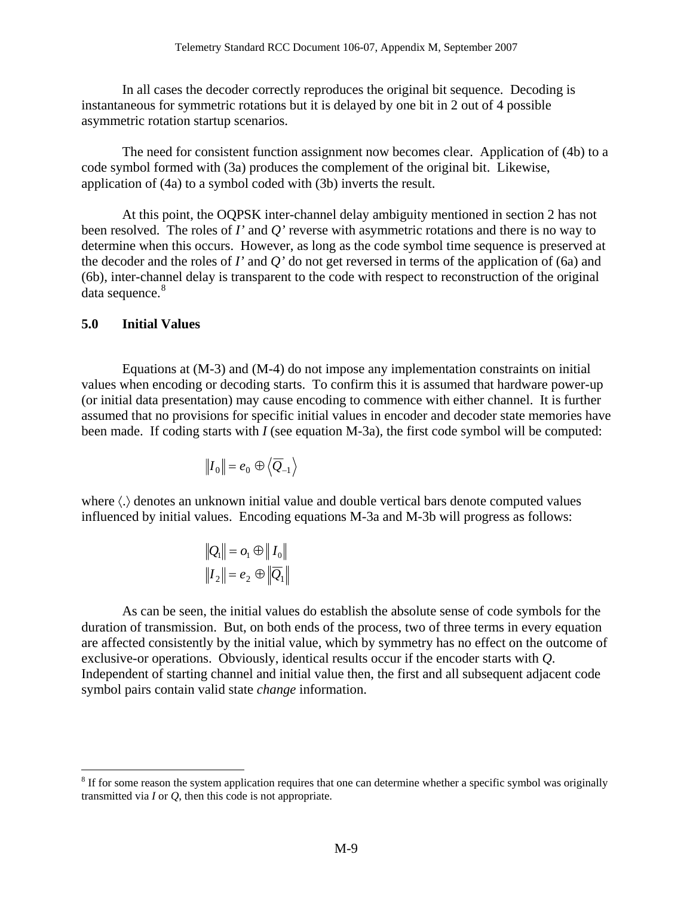<span id="page-10-0"></span>In all cases the decoder correctly reproduces the original bit sequence. Decoding is instantaneous for symmetric rotations but it is delayed by one bit in 2 out of 4 possible asymmetric rotation startup scenarios.

The need for consistent function assignment now becomes clear. Application of (4b) to a code symbol formed with (3a) produces the complement of the original bit. Likewise, application of (4a) to a symbol coded with (3b) inverts the result.

At this point, the OQPSK inter-channel delay ambiguity mentioned in section 2 has not been resolved. The roles of *I'* and *Q'* reverse with asymmetric rotations and there is no way to determine when this occurs. However, as long as the code symbol time sequence is preserved at the decoder and the roles of *I'* and *Q'* do not get reversed in terms of the application of (6a) and (6b), inter-channel delay is transparent to the code with respect to reconstruction of the original data sequence.<sup>[8](#page-10-1)</sup>

### **5.0 Initial Values**

 $\overline{a}$ 

Equations at (M-3) and (M-4) do not impose any implementation constraints on initial values when encoding or decoding starts. To confirm this it is assumed that hardware power-up (or initial data presentation) may cause encoding to commence with either channel. It is further assumed that no provisions for specific initial values in encoder and decoder state memories have been made. If coding starts with *I* (see equation M-3a)*,* the first code symbol will be computed:

$$
\big\|{I}_{0}\big \|=e_0 \oplus \big\langle\overline{{\cal Q}}_{-1}\big\rangle
$$

where  $\langle \cdot \rangle$  denotes an unknown initial value and double vertical bars denote computed values influenced by initial values. Encoding equations M-3a and M-3b will progress as follows:

$$
\begin{aligned} \left\| Q_1 \right\| &= o_1 \oplus \left\| \left. I _0 \right\| \right. \\ \left\| \left. I _2 \right\| &= e_2 \oplus \left\| \overline{Q_1} \right\| \end{aligned}
$$

 As can be seen, the initial values do establish the absolute sense of code symbols for the duration of transmission. But, on both ends of the process, two of three terms in every equation are affected consistently by the initial value, which by symmetry has no effect on the outcome of exclusive-or operations. Obviously, identical results occur if the encoder starts with *Q*. Independent of starting channel and initial value then, the first and all subsequent adjacent code symbol pairs contain valid state *change* information.

<span id="page-10-1"></span> $8$  If for some reason the system application requires that one can determine whether a specific symbol was originally transmitted via *I* or *Q*, then this code is not appropriate.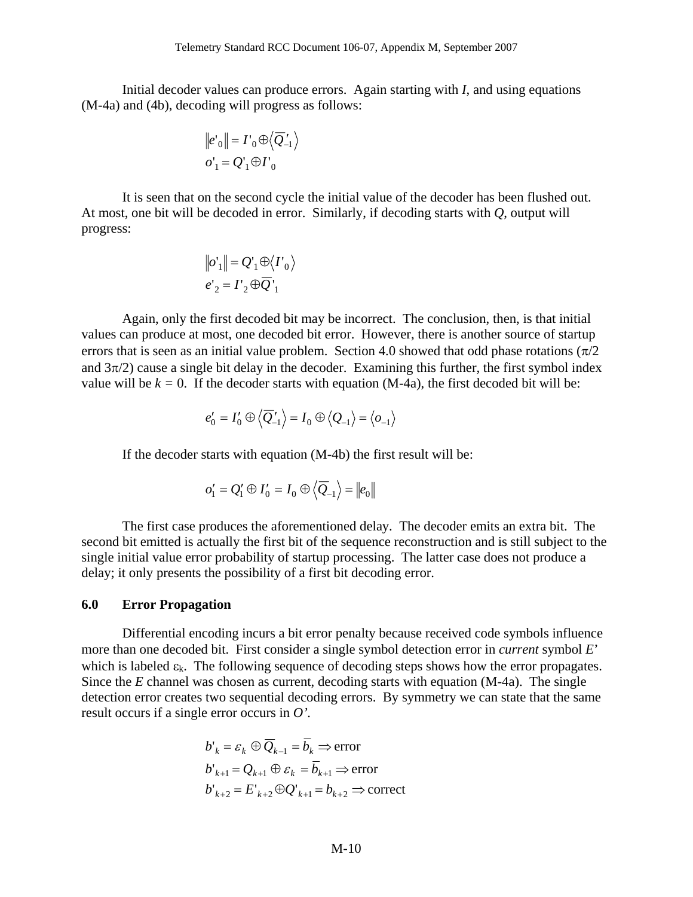<span id="page-11-0"></span>Initial decoder values can produce errors. Again starting with *I*, and using equations (M-4a) and (4b), decoding will progress as follows:

$$
\begin{array}{c} \left\| {e^{\prime}}_{0} \right\| = \overline{I^{\prime}}_{0} \oplus \left\langle {\overline{\overline{Q}}_{-1}^{\ \prime}} \right\rangle \\ {o^{\prime}}_{1} = \overline{Q^{\prime}}_{1} \oplus \overline{I^{\prime}}_{0} \end{array}
$$

It is seen that on the second cycle the initial value of the decoder has been flushed out. At most, one bit will be decoded in error. Similarly, if decoding starts with *Q*, output will progress:

$$
\begin{array}{c} \left\| o_{1}^{\prime}\right\| =\mathcal{Q}_{1}^{\prime}\!\oplus\!\left\langle I_{\phantom{c}0}^{\prime}\right\rangle \\ e_{\phantom{c}2}^{\prime}=I_{\phantom{c}2}^{\prime}\!\oplus\!\overline{\mathcal{Q}}_{\phantom{c}1}^{\prime} \end{array}
$$

Again, only the first decoded bit may be incorrect. The conclusion, then, is that initial values can produce at most, one decoded bit error. However, there is another source of startup errors that is seen as an initial value problem. Section 4.0 showed that odd phase rotations ( $\pi/2$ ) and  $3\pi/2$ ) cause a single bit delay in the decoder. Examining this further, the first symbol index value will be  $k = 0$ . If the decoder starts with equation (M-4a), the first decoded bit will be:

$$
e'_0 = I'_0 \oplus \left\langle \overline{Q}'_{-1} \right\rangle = I_0 \oplus \left\langle Q_{-1} \right\rangle = \left\langle o_{-1} \right\rangle
$$

If the decoder starts with equation (M-4b) the first result will be:

$$
o_1' = \mathcal{Q}_1' \oplus I_0' = I_0 \oplus \left\langle \overline{\mathcal{Q}}_{-1} \right\rangle = \left\| e_0 \right\|
$$

The first case produces the aforementioned delay. The decoder emits an extra bit. The second bit emitted is actually the first bit of the sequence reconstruction and is still subject to the single initial value error probability of startup processing. The latter case does not produce a delay; it only presents the possibility of a first bit decoding error.

#### **6.0 Error Propagation**

Differential encoding incurs a bit error penalty because received code symbols influence more than one decoded bit. First consider a single symbol detection error in *current* symbol *E*' which is labeled  $\varepsilon_k$ . The following sequence of decoding steps shows how the error propagates. Since the *E* channel was chosen as current, decoding starts with equation (M-4a). The single detection error creates two sequential decoding errors. By symmetry we can state that the same result occurs if a single error occurs in *O'.*

$$
b'_{k} = \varepsilon_{k} \oplus \overline{Q}_{k-1} = \overline{b}_{k} \implies \text{error}
$$
  
\n
$$
b'_{k+1} = Q_{k+1} \oplus \varepsilon_{k} = \overline{b}_{k+1} \implies \text{error}
$$
  
\n
$$
b'_{k+2} = E'_{k+2} \oplus Q'_{k+1} = b_{k+2} \implies \text{correct}
$$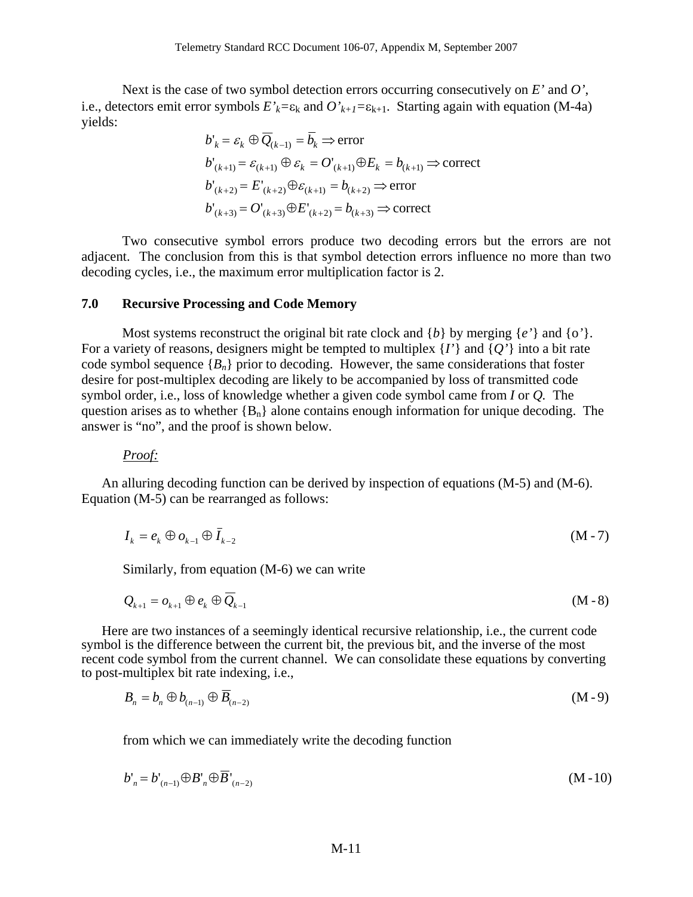<span id="page-12-0"></span>Next is the case of two symbol detection errors occurring consecutively on *E'* and *O'*, i.e., detectors emit error symbols  $E'_{k}=\varepsilon_{k}$  and  $O'_{k+1}=\varepsilon_{k+1}$ . Starting again with equation (M-4a) yields:

$$
b'_{k} = \varepsilon_{k} \oplus \overline{Q}_{(k-1)} = \overline{b}_{k} \implies \text{error}
$$
  
\n
$$
b'_{(k+1)} = \varepsilon_{(k+1)} \oplus \varepsilon_{k} = O'_{(k+1)} \oplus E_{k} = b_{(k+1)} \implies \text{correct}
$$
  
\n
$$
b'_{(k+2)} = E'_{(k+2)} \oplus \varepsilon_{(k+1)} = b_{(k+2)} \implies \text{error}
$$
  
\n
$$
b'_{(k+3)} = O'_{(k+3)} \oplus E'_{(k+2)} = b_{(k+3)} \implies \text{correct}
$$

Two consecutive symbol errors produce two decoding errors but the errors are not adjacent. The conclusion from this is that symbol detection errors influence no more than two decoding cycles, i.e., the maximum error multiplication factor is 2.

#### **7.0 Recursive Processing and Code Memory**

Most systems reconstruct the original bit rate clock and {*b*} by merging {*e'*} and {o*'*}. For a variety of reasons, designers might be tempted to multiplex  ${I'}$  and  ${Q'}$  into a bit rate code symbol sequence  ${B_n}$  prior to decoding. However, the same considerations that foster desire for post-multiplex decoding are likely to be accompanied by loss of transmitted code symbol order, i.e., loss of knowledge whether a given code symbol came from *I* or *Q.* The question arises as to whether  ${B_n}$  alone contains enough information for unique decoding. The answer is "no", and the proof is shown below.

#### *Proof:*

 An alluring decoding function can be derived by inspection of equations (M-5) and (M-6). Equation (M-5) can be rearranged as follows:

$$
I_k = e_k \oplus o_{k-1} \oplus \bar{I}_{k-2} \tag{M-7}
$$

Similarly, from equation (M-6) we can write

$$
Q_{k+1} = o_{k+1} \oplus e_k \oplus \overline{Q}_{k-1} \tag{M-8}
$$

 Here are two instances of a seemingly identical recursive relationship, i.e., the current code symbol is the difference between the current bit, the previous bit, and the inverse of the most recent code symbol from the current channel. We can consolidate these equations by converting to post-multiplex bit rate indexing, i.e.,

$$
B_n = b_n \oplus b_{(n-1)} \oplus \overline{B}_{(n-2)} \tag{M-9}
$$

from which we can immediately write the decoding function

$$
b'_n = b'_{(n-1)} \oplus B'_n \oplus \overline{B'}_{(n-2)} \tag{M-10}
$$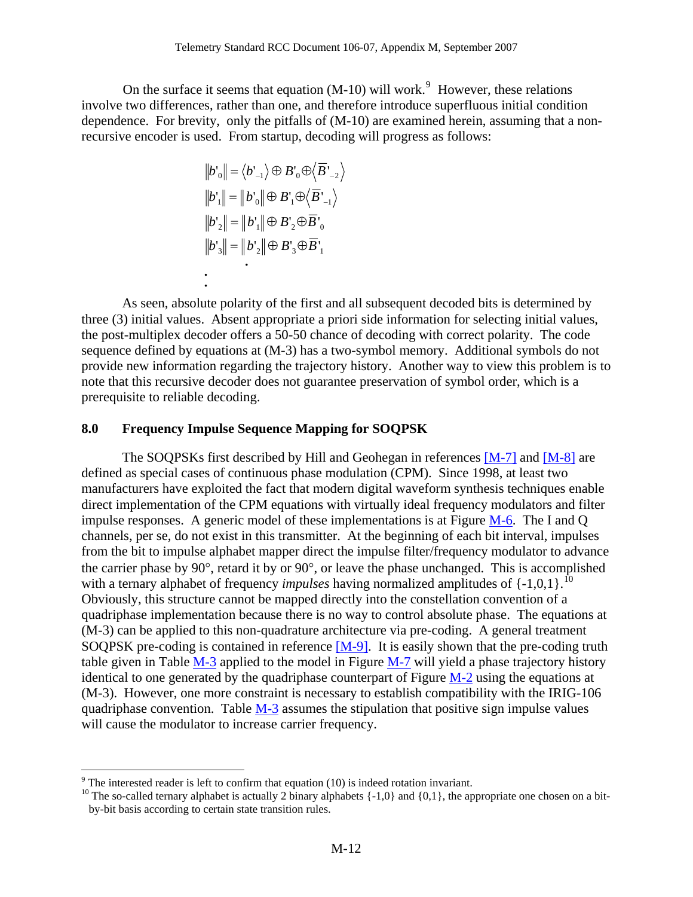<span id="page-13-0"></span>On the surface it seems that equation  $(M-10)$  will work.<sup>[9](#page-13-1)</sup> However, these relations involve two differences, rather than one, and therefore introduce superfluous initial condition dependence. For brevity, only the pitfalls of (M-10) are examined herein, assuming that a nonrecursive encoder is used. From startup, decoding will progress as follows:

$$
\begin{aligned} \left\| b^\prime{}_0 \right\| &= \left\langle b^\prime{}_{-1} \right\rangle \oplus B^\prime{}_0 \oplus \left\langle \overline{B}^\prime{}_{-2} \right\rangle \\ \left\| b^\prime{}_1 \right\| &= \left\| b^\prime{}_0 \right\| \oplus B^\prime{}_1 \oplus \left\langle \overline{B}^\prime{}_{-1} \right\rangle \\ \left\| b^\prime{}_2 \right\| &= \left\| b^\prime{}_1 \right\| \oplus B^\prime{}_2 \oplus \overline{B}^\prime{}_0 \\ \left\| b^\prime{}_3 \right\| &= \left\| b^\prime{}_2 \right\| \oplus B^\prime{}_3 \oplus \overline{B}^\prime{}_1 \\ &\cdot \\ \end{aligned}
$$

As seen, absolute polarity of the first and all subsequent decoded bits is determined by three (3) initial values. Absent appropriate a priori side information for selecting initial values, the post-multiplex decoder offers a 50-50 chance of decoding with correct polarity. The code sequence defined by equations at (M-3) has a two-symbol memory. Additional symbols do not provide new information regarding the trajectory history. Another way to view this problem is to note that this recursive decoder does not guarantee preservation of symbol order, which is a prerequisite to reliable decoding.

#### **8.0 Frequency Impulse Sequence Mapping for SOQPSK**

The SOQPSKs first described by Hill and Geohegan in references [\[M-7\]](#page-24-0) and [\[M-8\]](#page-24-0) are defined as special cases of continuous phase modulation (CPM). Since 1998, at least two manufacturers have exploited the fact that modern digital waveform synthesis techniques enable direct implementation of the CPM equations with virtually ideal frequency modulators and filter impulse responses. A generic model of these implementations is at Figure [M-6.](#page-14-0) The I and Q channels, per se, do not exist in this transmitter. At the beginning of each bit interval, impulses from the bit to impulse alphabet mapper direct the impulse filter/frequency modulator to advance the carrier phase by 90°, retard it by or 90°, or leave the phase unchanged. This is accomplished with a ternary alphabet of frequency *impulses* having normalized amplitudes of  $\{-1,0,1\}$ .<sup>[10](#page-13-2)</sup> Obviously, this structure cannot be mapped directly into the constellation convention of a quadriphase implementation because there is no way to control absolute phase. The equations at (M-3) can be applied to this non-quadrature architecture via pre-coding. A general treatment SOQPSK pre-coding is contained in reference  $[M-9]$ . It is easily shown that the pre-coding truth table given in Table [M-3](#page-14-0) applied to the model in Figure [M-7](#page-14-0) will yield a phase trajectory history identical to one generated by the quadriphase counterpart of Figure [M-2](#page-4-0) using the equations at (M-3). However, one more constraint is necessary to establish compatibility with the IRIG-106 quadriphase convention. Table  $M-3$  assumes the stipulation that positive sign impulse values will cause the modulator to increase carrier frequency.

1

<span id="page-13-1"></span> $\degree$  The interested reader is left to confirm that equation (10) is indeed rotation invariant.

<span id="page-13-2"></span><sup>&</sup>lt;sup>10</sup> The so-called ternary alphabet is actually 2 binary alphabets  $\{-1,0\}$  and  $\{0,1\}$ , the appropriate one chosen on a bitby-bit basis according to certain state transition rules.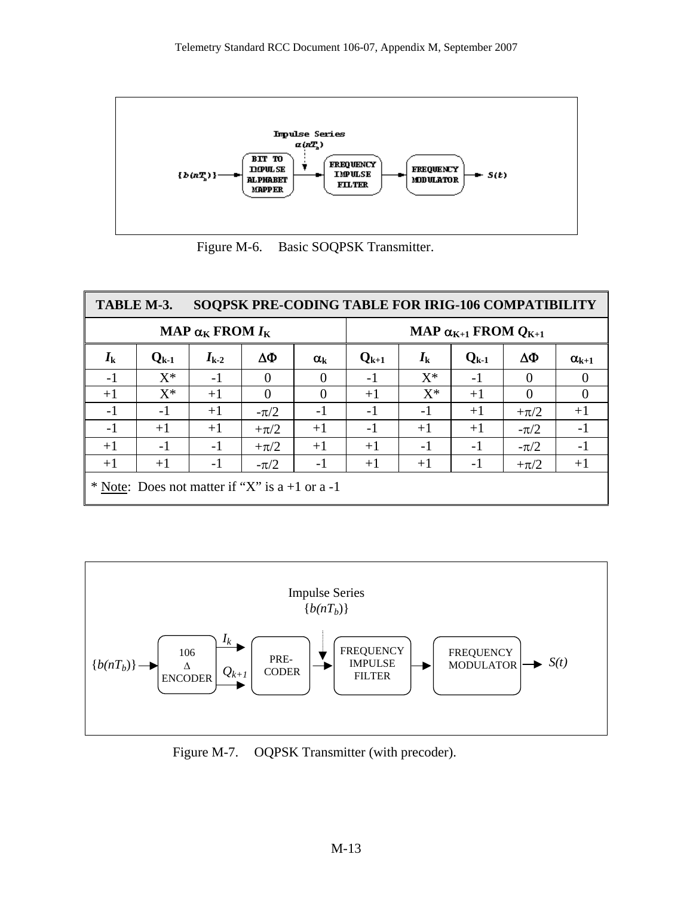<span id="page-14-0"></span>

Figure M-6. Basic SOQPSK Transmitter.

| TABLE M-3.<br><b>SOQPSK PRE-CODING TABLE FOR IRIG-106 COMPATIBILITY</b> |           |                                                |          |                  |                                                               |       |      |          |          |  |
|-------------------------------------------------------------------------|-----------|------------------------------------------------|----------|------------------|---------------------------------------------------------------|-------|------|----------|----------|--|
| MAP $\alpha_{\rm K}$ FROM $I_{\rm K}$                                   |           |                                                |          |                  | MAP $\alpha_{K+1}$ FROM $Q_{K+1}$                             |       |      |          |          |  |
| $I_{\rm k}$                                                             | $Q_{k-1}$ | $I_{k-2}$                                      | ΔΦ       | $\alpha_{\rm k}$ | $I_{\rm k}$<br>$Q_{k-1}$<br>ΔΦ<br>$Q_{k+1}$<br>$\alpha_{k+1}$ |       |      |          |          |  |
| $-1$                                                                    | $X^*$     | $-1$                                           | $\theta$ | $\Omega$         | $-1$                                                          | $X^*$ | $-1$ | $\Omega$ | $\Omega$ |  |
| $+1$                                                                    | $X^*$     | $+1$                                           | $\Omega$ | $\Omega$         | $+1$                                                          | $X^*$ | $+1$ | $\Omega$ | $\Omega$ |  |
| $-1$                                                                    | $-1$      | $+1$                                           | $-\pi/2$ | $-1$             | $-1$                                                          | $-1$  | $+1$ | $+\pi/2$ | $+1$     |  |
| $-1$                                                                    | $+1$      | $+1$                                           | $+\pi/2$ | $+1$             | $-1$                                                          | $+1$  | $+1$ | $-\pi/2$ | $-1$     |  |
| $+1$                                                                    | $-1$      | $-1$                                           | $+\pi/2$ | $+1$             | $+1$                                                          | $-1$  | $-1$ | $-\pi/2$ | $-1$     |  |
| $+1$                                                                    | $+1$      | $-1$                                           | $-\pi/2$ | $-1$             | $+1$                                                          | $+1$  | $-1$ | $+\pi/2$ | $+1$     |  |
|                                                                         |           | * Note: Does not matter if "X" is a +1 or a -1 |          |                  |                                                               |       |      |          |          |  |



Figure M-7. OQPSK Transmitter (with precoder).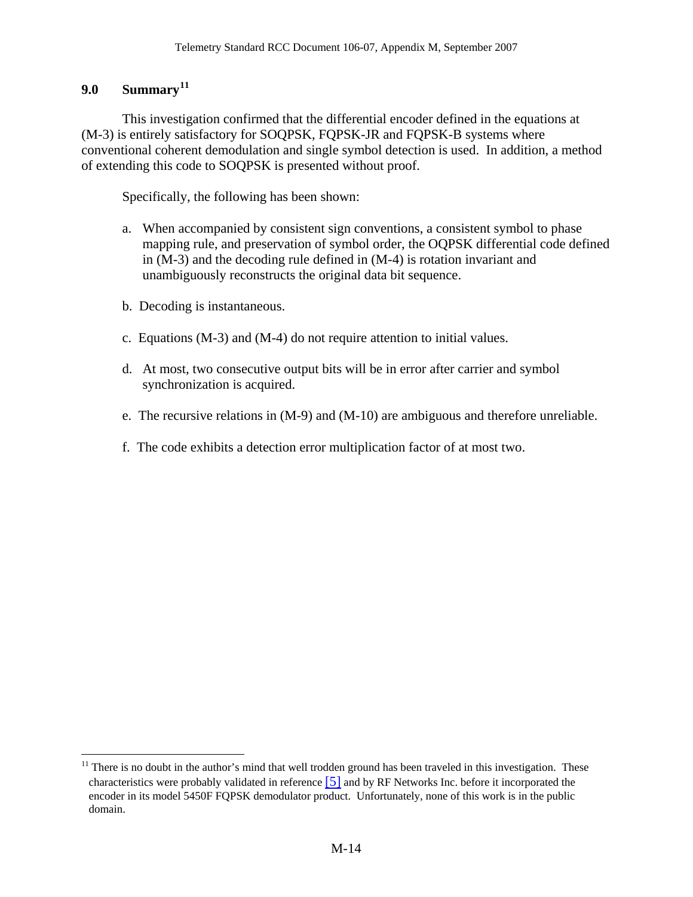# <span id="page-15-0"></span>**9.0 Summary[11](#page-15-1)**

<u>.</u>

This investigation confirmed that the differential encoder defined in the equations at (M-3) is entirely satisfactory for SOQPSK, FQPSK-JR and FQPSK-B systems where conventional coherent demodulation and single symbol detection is used. In addition, a method of extending this code to SOQPSK is presented without proof.

Specifically, the following has been shown:

- a. When accompanied by consistent sign conventions, a consistent symbol to phase mapping rule, and preservation of symbol order, the OQPSK differential code defined in (M-3) and the decoding rule defined in (M-4) is rotation invariant and unambiguously reconstructs the original data bit sequence.
- b. Decoding is instantaneous.
- c. Equations (M-3) and (M-4) do not require attention to initial values.
- d. At most, two consecutive output bits will be in error after carrier and symbol synchronization is acquired.
- e. The recursive relations in (M-9) and (M-10) are ambiguous and therefore unreliable.
- f. The code exhibits a detection error multiplication factor of at most two.

<span id="page-15-1"></span> $11$  There is no doubt in the author's mind that well trodden ground has been traveled in this investigation. These characteristics were probably validated in reference  $\lceil 5 \rceil$  and by RF Networks Inc. before it incorporated the encoder in its model 5450F FQPSK demodulator product. Unfortunately, none of this work is in the public domain.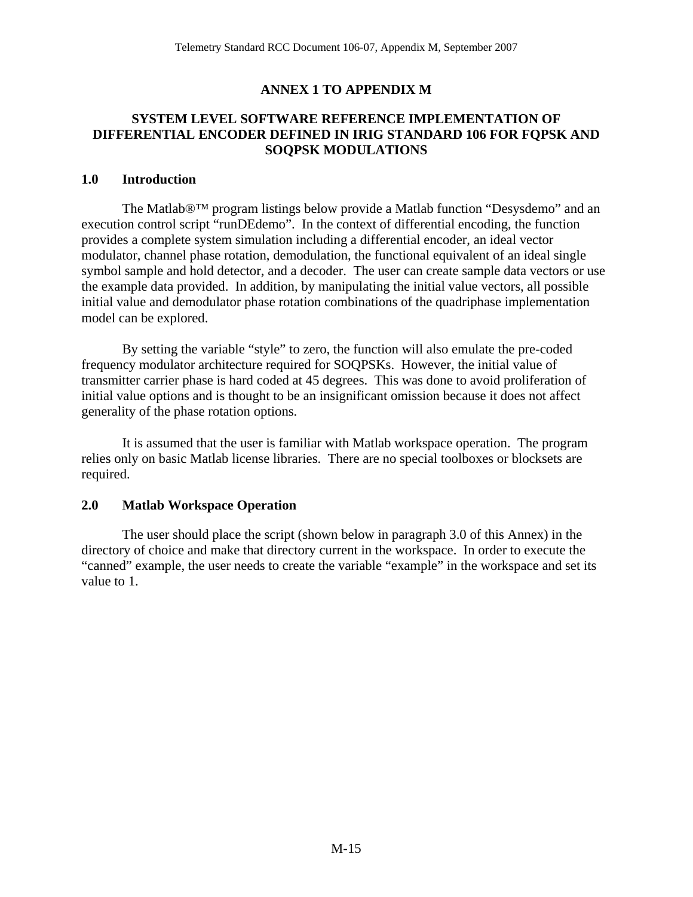## **ANNEX 1 TO APPENDIX M**

### <span id="page-16-0"></span>**SYSTEM LEVEL SOFTWARE REFERENCE IMPLEMENTATION OF DIFFERENTIAL ENCODER DEFINED IN IRIG STANDARD 106 FOR FQPSK AND SOQPSK MODULATIONS**

#### **1.0 Introduction**

The Matlab®™ program listings below provide a Matlab function "Desysdemo" and an execution control script "runDEdemo". In the context of differential encoding, the function provides a complete system simulation including a differential encoder, an ideal vector modulator, channel phase rotation, demodulation, the functional equivalent of an ideal single symbol sample and hold detector, and a decoder. The user can create sample data vectors or use the example data provided. In addition, by manipulating the initial value vectors, all possible initial value and demodulator phase rotation combinations of the quadriphase implementation model can be explored.

By setting the variable "style" to zero, the function will also emulate the pre-coded frequency modulator architecture required for SOQPSKs. However, the initial value of transmitter carrier phase is hard coded at 45 degrees. This was done to avoid proliferation of initial value options and is thought to be an insignificant omission because it does not affect generality of the phase rotation options.

It is assumed that the user is familiar with Matlab workspace operation. The program relies only on basic Matlab license libraries. There are no special toolboxes or blocksets are required.

### **2.0 Matlab Workspace Operation**

The user should place the script (shown below in paragraph 3.0 of this Annex) in the directory of choice and make that directory current in the workspace. In order to execute the "canned" example, the user needs to create the variable "example" in the workspace and set its value to 1.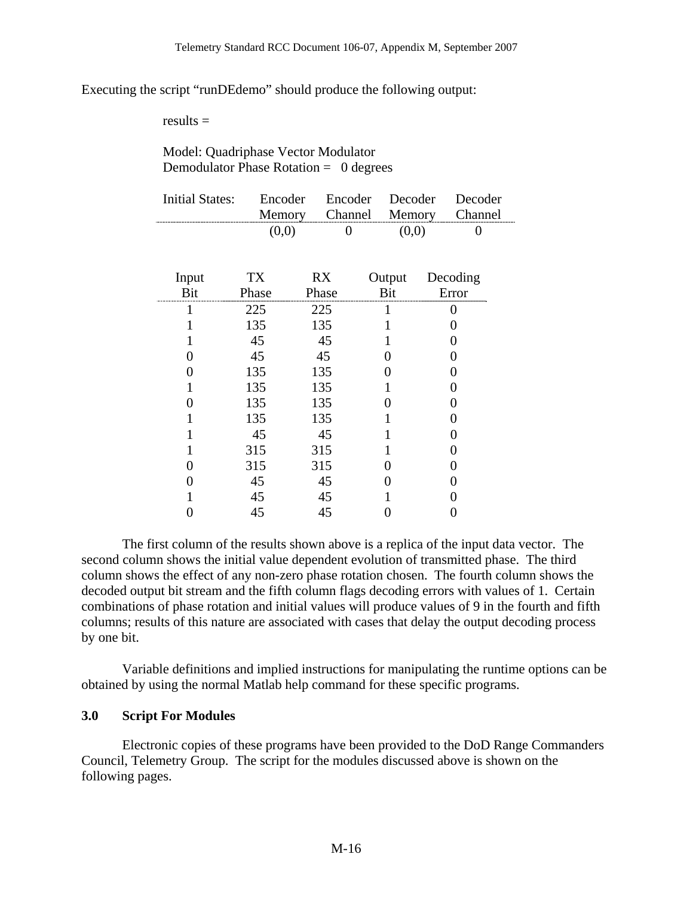<span id="page-17-0"></span>Executing the script "runDEdemo" should produce the following output:

results  $=$ 

Model: Quadriphase Vector Modulator Demodulator Phase Rotation  $= 0$  degrees

| <b>Initial States:</b> | Encoder |          | Encoder        | Decoder | Decoder  |        |         |
|------------------------|---------|----------|----------------|---------|----------|--------|---------|
|                        |         | Channel  |                | Memory  |          | Memory | Channel |
|                        | (0,0)   |          | $\overline{0}$ | (0,0)   | 0        |        |         |
|                        |         |          |                |         |          |        |         |
|                        |         |          |                |         |          |        |         |
| Input                  | TX      | RX       |                | Output  | Decoding |        |         |
| Bit                    | Phase   | Phase    |                | Bit     | Error    |        |         |
|                        | 225     | 225      |                |         | 0        |        |         |
| 1                      | 135     | 135      |                | 1       | 0        |        |         |
| 1                      | 45      |          | 45             |         | 0        |        |         |
| 0                      | 45      |          | 45<br>0        |         | 0        |        |         |
| 0                      | 135     | 135<br>0 |                |         | 0        |        |         |
| 1                      | 135     | 135      |                | 1       | 0        |        |         |
| $\mathbf{\Omega}$      | 135     | 135      |                | 0       | 0        |        |         |
| 1                      | 135     | 135      |                | 1       | 0        |        |         |
|                        | 45      |          | 45             |         | 0        |        |         |
| 1                      | 315     | 315      |                |         | 0        |        |         |
| 0                      | 315     | 315      |                | 0       | 0        |        |         |
| $_{0}$                 | 45      |          | 45             | 0       | 0        |        |         |
|                        | 45      |          | 45             |         | 0        |        |         |
| 0                      | 45      |          | 45             | 0       | 0        |        |         |

The first column of the results shown above is a replica of the input data vector. The second column shows the initial value dependent evolution of transmitted phase. The third column shows the effect of any non-zero phase rotation chosen. The fourth column shows the decoded output bit stream and the fifth column flags decoding errors with values of 1. Certain combinations of phase rotation and initial values will produce values of 9 in the fourth and fifth columns; results of this nature are associated with cases that delay the output decoding process by one bit.

Variable definitions and implied instructions for manipulating the runtime options can be obtained by using the normal Matlab help command for these specific programs.

### **3.0 Script For Modules**

Electronic copies of these programs have been provided to the DoD Range Commanders Council, Telemetry Group. The script for the modules discussed above is shown on the following pages.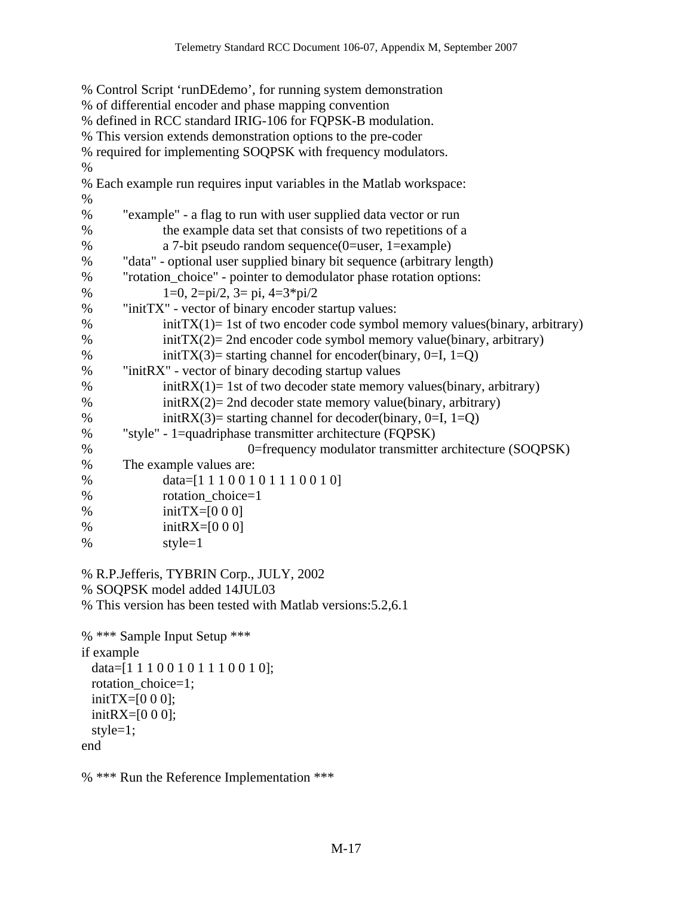```
% Control Script 'runDEdemo', for running system demonstration 
% of differential encoder and phase mapping convention 
% defined in RCC standard IRIG-106 for FQPSK-B modulation. 
% This version extends demonstration options to the pre-coder 
% required for implementing SOQPSK with frequency modulators. 
% 
% Each example run requires input variables in the Matlab workspace: 
% 
% "example" - a flag to run with user supplied data vector or run 
% the example data set that consists of two repetitions of a 
% a 7-bit pseudo random sequence(0=user, 1=example) 
% "data" - optional user supplied binary bit sequence (arbitrary length) 
% "rotation_choice" - pointer to demodulator phase rotation options: 
% 1=0, 2=pi/2, 3=pi, 4=3*pi/2% "initTX" - vector of binary encoder startup values: 
% initTX(1)= 1st of two encoder code symbol memory values(binary, arbitrary)
% initTX(2)= 2nd encoder code symbol memory value(binary, arbitrary)
% initTX(3)= starting channel for encoder(binary, 0=I, 1=Q)
% "initRX" - vector of binary decoding startup values 
% initRX(1) = 1st of two decoder state memory values(binary, arbitrary)
% initRX(2)= 2nd decoder state memory value(binary, arbitrary)
% initRX(3)= starting channel for decoder(binary, 0=I, 1=Q)
% "style" - 1=quadriphase transmitter architecture (FQPSK) 
% 0=frequency modulator transmitter architecture (SOQPSK) 
% The example values are: 
% data=[1 1 1 0 0 1 0 1 1 1 0 0 1 0] 
% rotation choice=1
% initTX=[0\ 0\ 0]% initRX=[0 0 0] 
% style=1
% R.P.Jefferis, TYBRIN Corp., JULY, 2002
```

```
% SOQPSK model added 14JUL03
```
% This version has been tested with Matlab versions:5.2,6.1

```
% *** Sample Input Setup *** 
if example 
 data=[1 1 1 0 0 1 0 1 1 1 0 0 1 0];
 rotation choice=1;
 initTX=[0 0 0];
 initRX=[0 0 0]; style=1; 
end
```
% \*\*\* Run the Reference Implementation \*\*\*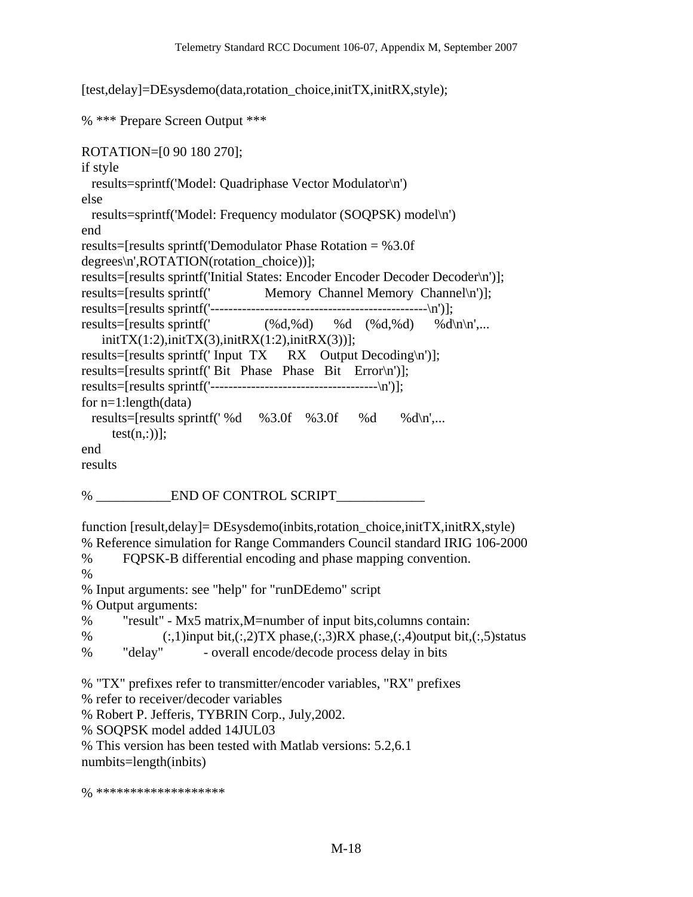[test,delay]=DEsysdemo(data,rotation\_choice,initTX,initRX,style);

% \*\*\* Prepare Screen Output \*\*\*

ROTATION=[0 90 180 270]; if style results=sprintf('Model: Quadriphase Vector Modulator\n') else results=sprintf('Model: Frequency modulator (SOQPSK) model\n') end results=[results sprintf('Demodulator Phase Rotation = %3.0f degrees\n',ROTATION(rotation\_choice))]; results=[results sprintf('Initial States: Encoder Encoder Decoder Decoder\n')]; results=[results sprintf(' Memory Channel Memory Channel\n')]; results=[results sprintf('------------------------------------------------\n')]; results=[results sprintf('  $(\%d, \%d)$  %d  $(\%d, \%d)$  %d\n\n',...  $initTX(1:2),initTX(3),initRX(1:2),initRX(3))$ ; results=[results sprintf(' Input TX RX Output Decoding\n')]; results=[results sprintf(' Bit Phase Phase Bit Error\n')]; results=[results sprintf('-------------------------------------\n')]; for n=1:length(data) results=[results sprintf(' %d %3.0f %3.0f %d %d\n',... test $(n,:)$ ]; end results % \_\_\_\_\_\_\_\_\_\_\_END OF CONTROL SCRIPT\_\_\_\_\_\_\_\_\_\_\_\_\_ function [result,delay]= DEsysdemo(inbits,rotation\_choice,initTX,initRX,style) % Reference simulation for Range Commanders Council standard IRIG 106-2000 % FQPSK-B differential encoding and phase mapping convention. % % Input arguments: see "help" for "runDEdemo" script % Output arguments: % "result" - Mx5 matrix,M=number of input bits,columns contain: % (:,1)input bit, $(:,2)TX$  phase, $(:,3)RX$  phase, $(:,4)$ output bit, $(:,5)$ status % "delay" - overall encode/decode process delay in bits % "TX" prefixes refer to transmitter/encoder variables, "RX" prefixes % refer to receiver/decoder variables % Robert P. Jefferis, TYBRIN Corp., July,2002. % SOQPSK model added 14JUL03 % This version has been tested with Matlab versions: 5.2,6.1 numbits=length(inbits)

% \*\*\*\*\*\*\*\*\*\*\*\*\*\*\*\*\*\*\*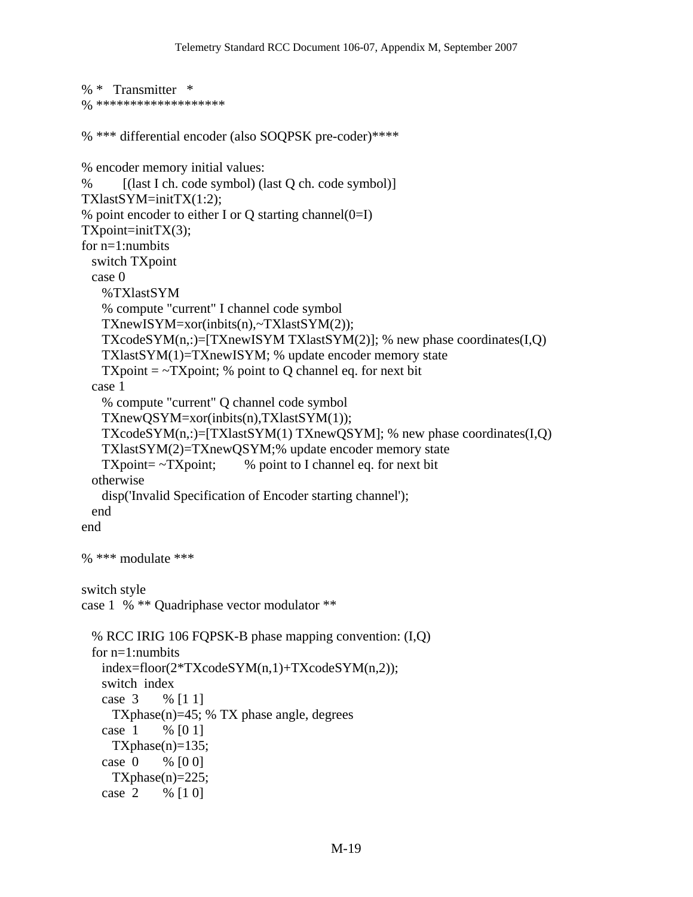```
% * Transmitter * 
% ******************* 
% *** differential encoder (also SOQPSK pre-coder)**** 
% encoder memory initial values: 
% [(last I ch. code symbol) (last Q ch. code symbol)] 
TXlastSYM=initTX(1:2); 
% point encoder to either I or Q starting channel (0=I)TXpoint=initTX(3);for n=1:numbits 
  switch TXpoint 
  case 0 
    %TXlastSYM 
    % compute "current" I channel code symbol 
    TXnewISYM=xor(inbits(n),~TXlastSYM(2)); 
   TXcodeSYM(n,:)=[TXnewISYM TXlastSYM(2)]; % new phase coordinates(I,Q)
    TXlastSYM(1)=TXnewISYM; % update encoder memory state 
   TXpoint = -TXpoint; % point to Q channel eq. for next bit
  case 1 
    % compute "current" Q channel code symbol 
    TXnewQSYM=xor(inbits(n),TXlastSYM(1)); 
   TXcodeSYM(n,:)=[TXlastSYM(1)TXnewQSYM]; % new phase coordinates(I,Q) TXlastSYM(2)=TXnewQSYM;% update encoder memory state 
   TXpoint = -TXpoint; % point to I channel eq. for next bit
  otherwise 
    disp('Invalid Specification of Encoder starting channel'); 
  end 
end 
% *** modulate *** 
switch style 
case 1 % ** Quadriphase vector modulator ** 
  % RCC IRIG 106 FQPSK-B phase mapping convention: (I,Q) 
  for n=1:numbits 
    index=floor(2*TXcodeSYM(n,1)+TXcodeSYM(n,2)); 
    switch index 
    case 3 % [1 1] 
     TXphase(n)=45; % TX phase angle, degrees
    case 1 % [0 1] 
     TXphase(n)=135; case 0 % [0 0] 
     TXphase(n)=225; case 2 % [1 0]
```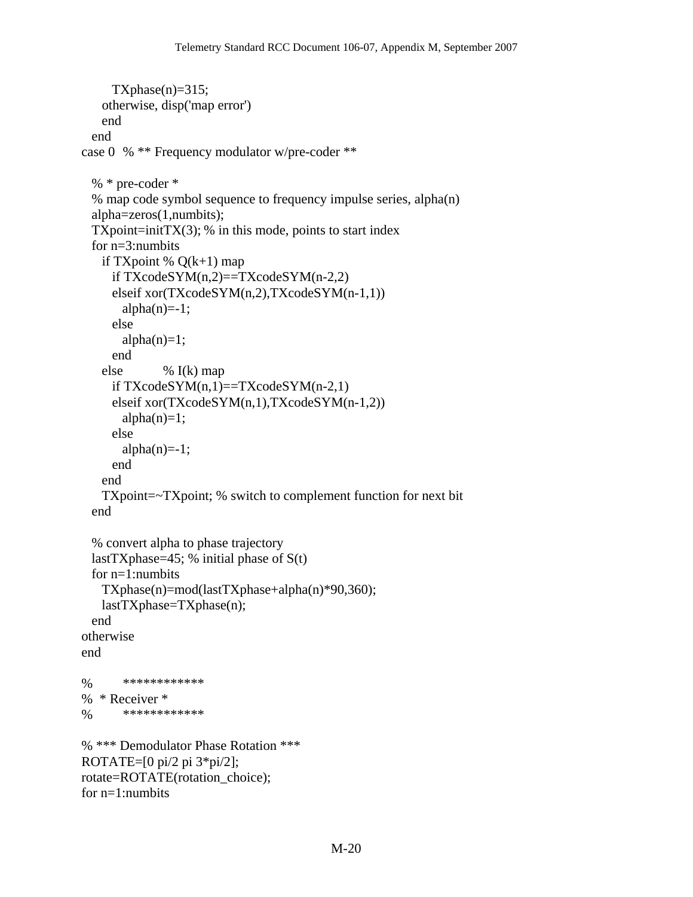```
TXphase(n)=315; otherwise, disp('map error') 
    end 
  end 
case 0 % ** Frequency modulator w/pre-coder ** 
  % * pre-coder * 
  % map code symbol sequence to frequency impulse series, alpha(n) 
  alpha=zeros(1,numbits); 
 TXpoint=initTX(3); % in this mode, points to start index
  for n=3:numbits 
   if TXpoint % Q(k+1) map
     if TXcodeSYM(n,2)=TXcodeSYM(n-2,2) elseif xor(TXcodeSYM(n,2),TXcodeSYM(n-1,1)) 
       alpha(n)=1;
      else 
       alpha(n)=1;
      end 
   else % I(k) map
     if TXcodeSYM(n,1)=TXcodeSYM(n-2,1) elseif xor(TXcodeSYM(n,1),TXcodeSYM(n-1,2)) 
       alpha(n)=1; else 
       alpha(n)=-1; end 
    end 
    TXpoint=~TXpoint; % switch to complement function for next bit 
  end 
  % convert alpha to phase trajectory 
 lastTXphase=45; % initial phase of S(t) for n=1:numbits 
    TXphase(n)=mod(lastTXphase+alpha(n)*90,360); 
    lastTXphase=TXphase(n); 
  end 
otherwise 
end 
% ************ 
% * Receiver * 
% ************ 
% *** Demodulator Phase Rotation *** 
ROTATE=[0 \pi/2 \pi \cdot 3 \pi/2];
rotate=ROTATE(rotation_choice); 
for n=1: numbits
```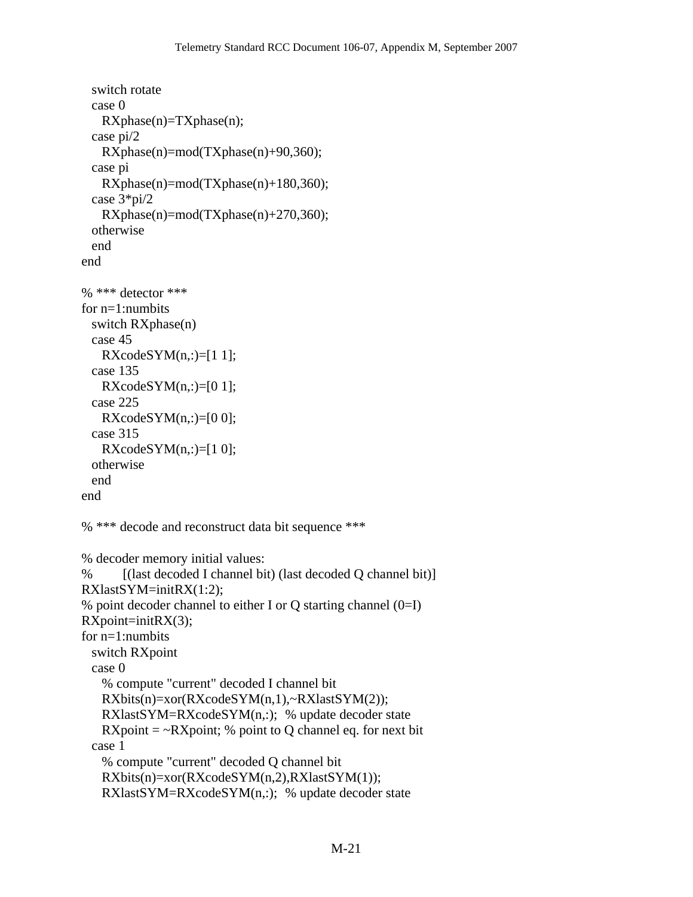```
 switch rotate 
  case 0 
    RXphase(n)=TXphase(n); 
  case pi/2 
   RXphase(n)=mod(TXphase(n)+90,360); case pi 
    RXphase(n)=mod(TXphase(n)+180,360); 
  case 3*pi/2 
   RXphase(n)=mod(TXphase(n)+270,360); otherwise 
  end 
end 
% *** detector ***for n=1:numbits 
  switch RXphase(n) 
  case 45 
   RXcodeSYM(n,:)=[1\ 1]; case 135 
   RXcodeSYM(n,:)=[0 1]; case 225 
   RXcodeSYM(n,:)=[0 0]; case 315 
   RXcodeSYM(n,:)=[1 0]; otherwise 
  end
```

```
end
```
% \*\*\* decode and reconstruct data bit sequence \*\*\*

```
% decoder memory initial values: 
% [(last decoded I channel bit) (last decoded Q channel bit)] 
RXlastSYM=initRX(1:2); 
% point decoder channel to either I or Q starting channel (0=I) 
RXpoint=initRX(3); 
for n=1:numbits 
  switch RXpoint 
  case 0 
    % compute "current" decoded I channel bit 
    RXbits(n)=xor(RXcodeSYM(n,1),~RXlastSYM(2)); 
    RXlastSYM=RXcodeSYM(n,:); % update decoder state 
   RXpoint = \sim RX point; % point to Q channel eq. for next bit
  case 1 
    % compute "current" decoded Q channel bit 
    RXbits(n)=xor(RXcodeSYM(n,2),RXlastSYM(1)); 
    RXlastSYM=RXcodeSYM(n,:); % update decoder state
```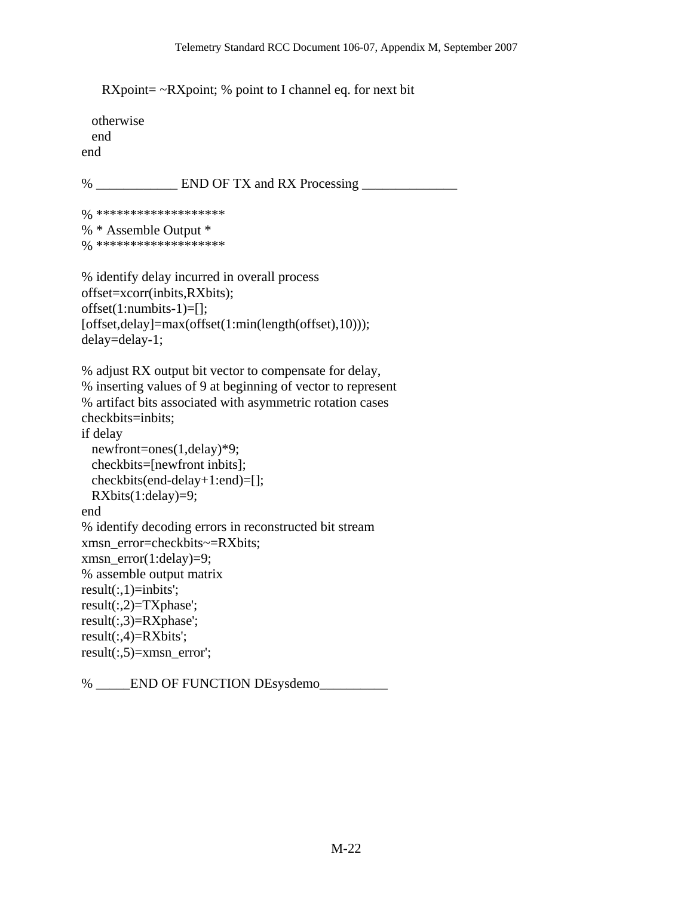$RXpoint =  $~N$  point; % point to I channel eq. for next bit$  otherwise end end % \_\_\_\_\_\_\_\_\_\_\_\_\_\_ END OF TX and RX Processing \_\_\_\_\_\_\_\_\_\_\_\_\_\_\_\_\_\_\_\_\_\_\_\_\_\_\_\_\_\_\_\_\_\_\_ % \*\*\*\*\*\*\*\*\*\*\*\*\*\*\*\*\*\*\* % \* Assemble Output \* % \*\*\*\*\*\*\*\*\*\*\*\*\*\*\*\*\*\*\* % identify delay incurred in overall process offset=xcorr(inbits,RXbits); offset(1:numbits-1)=[]; [offset,delay]=max(offset(1:min(length(offset),10))); delay=delay-1; % adjust RX output bit vector to compensate for delay, % inserting values of 9 at beginning of vector to represent % artifact bits associated with asymmetric rotation cases checkbits=inbits; if delay newfront=ones(1,delay)\*9; checkbits=[newfront inbits]; checkbits(end-delay+1:end)=[]; RXbits(1:delay)=9; end % identify decoding errors in reconstructed bit stream xmsn\_error=checkbits~=RXbits; xmsn\_error(1:delay)=9; % assemble output matrix  $result(:,1)=inbits';$ result(:,2)=TXphase'; result(:,3)=RXphase';  $result(:,4)=RXbits';$ result(:,5)=xmsn\_error';

```
% _____END OF FUNCTION DEsysdemo__________
```